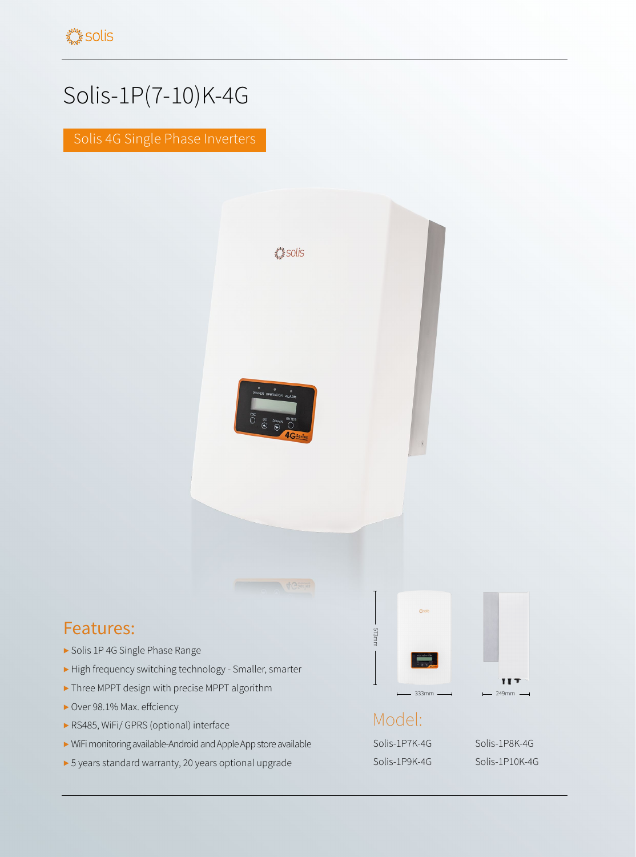## Solis-1P(7-10)K-4G

Solis 4G Single Phase Inverters



- ▶ High frequency switching technology Smaller, smarter
- ▶ Three MPPT design with precise MPPT algorithm
- ▶ Over 98.1% Max. effciency

Features:

- ▶ RS485, WiFi/ GPRS (optional) interface
- ▶ WiFi monitoring available-Android and Apple App store available
- ▶ 5 years standard warranty, 20 years optional upgrade

Model: Solis-1P7K-4G Solis-1P8K-4G

 $333mm$   $\longrightarrow$  249m

Solis-1P9K-4G Solis-1P10K-4G

**TIT**